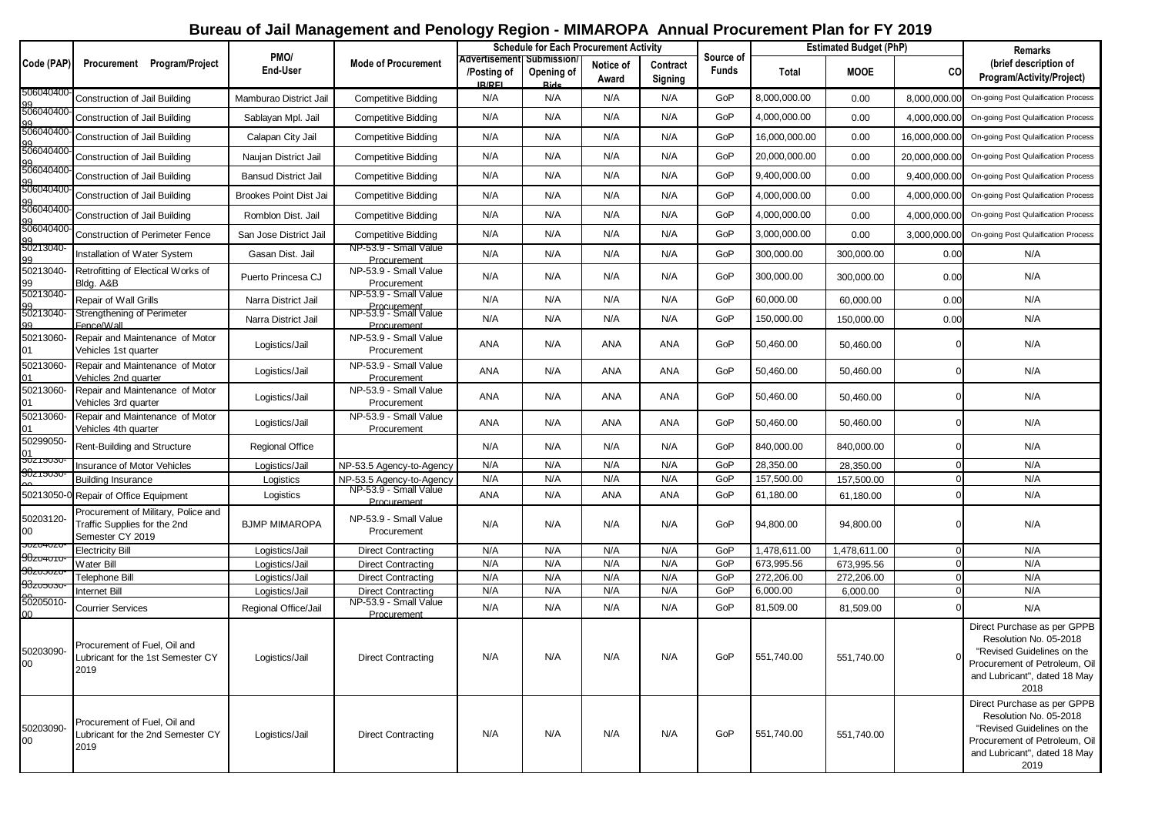## **Bureau of Jail Management and Penology Region - MIMAROPA Annual Procurement Plan for FY 2019**

|                                         |                                                                                         |                                        |                                                     |                                                           |                           | <b>Schedule for Each Procurement Activity</b> |                     | <b>Estimated Budget (PhP)</b> |                       | <b>Remarks</b>        |               |                                                                                                                                                              |
|-----------------------------------------|-----------------------------------------------------------------------------------------|----------------------------------------|-----------------------------------------------------|-----------------------------------------------------------|---------------------------|-----------------------------------------------|---------------------|-------------------------------|-----------------------|-----------------------|---------------|--------------------------------------------------------------------------------------------------------------------------------------------------------------|
| Code (PAP)                              | Procurement Program/Project                                                             | PMO/<br><b>End-User</b>                | <b>Mode of Procurement</b>                          | Advertisementi Submission<br>/Posting of<br><b>IR/REI</b> | Opening of<br><b>Ride</b> | Notice of<br>Award                            | Contract<br>Signing | Source of<br><b>Funds</b>     | Total                 | <b>MOOE</b>           | CO            | (brief description of<br>Program/Activity/Project)                                                                                                           |
| 506040400-                              | Construction of Jail Building                                                           | Mamburao District Jail                 | <b>Competitive Bidding</b>                          | N/A                                                       | N/A                       | N/A                                           | N/A                 | GoP                           | 8,000,000.00          | 0.00                  | 8,000,000.00  | On-going Post Qulaification Process                                                                                                                          |
| 99<br>506040400                         | Construction of Jail Building                                                           | Sablayan Mpl. Jail                     | <b>Competitive Bidding</b>                          | N/A                                                       | N/A                       | N/A                                           | N/A                 | GoP                           | 4,000,000.00          | 0.00                  | 4,000,000.00  | On-going Post Qulaification Process                                                                                                                          |
| 99<br>506040400-                        | Construction of Jail Building                                                           | Calapan City Jail                      | <b>Competitive Bidding</b>                          | N/A                                                       | N/A                       | N/A                                           | N/A                 | GoP                           | 16,000,000.00         | 0.00                  | 16,000,000.00 | On-going Post Qulaification Process                                                                                                                          |
| gg<br>506040400-                        | Construction of Jail Building                                                           | Naujan District Jail                   | <b>Competitive Bidding</b>                          | N/A                                                       | N/A                       | N/A                                           | N/A                 | GoP                           | 20,000,000.00         | 0.00                  | 20,000,000.00 | On-going Post Qulaification Process                                                                                                                          |
| gg<br>506040400-                        | Construction of Jail Building                                                           | <b>Bansud District Jail</b>            | <b>Competitive Bidding</b>                          | N/A                                                       | N/A                       | N/A                                           | N/A                 | GoP                           | 9,400,000.00          | 0.00                  | 9,400,000.0   | On-going Post Qulaification Process                                                                                                                          |
| gg<br>506040400                         | Construction of Jail Building                                                           | Brookes Point Dist Jai                 | <b>Competitive Bidding</b>                          | N/A                                                       | N/A                       | N/A                                           | N/A                 | GoP                           | 4,000,000.00          | 0.00                  | 4,000,000.00  | On-going Post Qulaification Process                                                                                                                          |
| gg<br>506040400-                        | Construction of Jail Building                                                           | Romblon Dist. Jail                     | <b>Competitive Bidding</b>                          | N/A                                                       | N/A                       | N/A                                           | N/A                 | GoP                           | 4,000,000.00          | 0.00                  | 4,000,000.00  | On-going Post Qulaification Process                                                                                                                          |
| gg<br>506040400                         | <b>Construction of Perimeter Fence</b>                                                  | San Jose District Jail                 | <b>Competitive Bidding</b>                          | N/A                                                       | N/A                       | N/A                                           | N/A                 | GoP                           | 3,000,000.00          | 0.00                  | 3,000,000.00  | On-going Post Qulaification Process                                                                                                                          |
| gg<br>50213040-<br>99                   | Installation of Water System                                                            | Gasan Dist. Jail                       | NP-53.9 - Small Value<br>Procurement                | N/A                                                       | N/A                       | N/A                                           | N/A                 | GoP                           | 300,000.00            | 300,000.00            | 0.00          | N/A                                                                                                                                                          |
| 50213040-<br>99<br>50213040-            | Retrofitting of Electical Works of<br>Bldg. A&B                                         | Puerto Princesa CJ                     | NP-53.9 - Small Value<br>Procurement                | N/A                                                       | N/A                       | N/A                                           | N/A                 | GoP                           | 300,000.00            | 300,000.00            | 0.00          | N/A                                                                                                                                                          |
|                                         | Repair of Wall Grills                                                                   | Narra District Jail                    | NP-53.9 - Small Value                               | N/A                                                       | N/A                       | N/A                                           | N/A                 | GoP                           | 60,000.00             | 60,000.00             | 0.00          | N/A                                                                                                                                                          |
| gg<br>50213040-                         | Strengthening of Perimeter<br>Eence/Wall                                                | Narra District Jail                    | Procurement<br>NP-53.9 - Small Value<br>Procurement | N/A                                                       | N/A                       | N/A                                           | N/A                 | GoP                           | 150,000.00            | 150,000.00            | 0.00          | N/A                                                                                                                                                          |
| 50213060-<br>01                         | Repair and Maintenance of Motor<br>Vehicles 1st quarter                                 | Logistics/Jail                         | NP-53.9 - Small Value<br>Procurement                | ANA                                                       | N/A                       | ANA                                           | ANA                 | GoP                           | 50,460.00             | 50,460.00             |               | N/A                                                                                                                                                          |
| 50213060-<br>01                         | Repair and Maintenance of Motor<br>Vehicles 2nd quarter                                 | Logistics/Jail                         | NP-53.9 - Small Value<br>Procurement                | ANA                                                       | N/A                       | ANA                                           | ANA                 | GoP                           | 50,460.00             | 50,460.00             |               | N/A                                                                                                                                                          |
| 50213060-<br>01                         | Repair and Maintenance of Motor<br>Vehicles 3rd quarter                                 | Logistics/Jail                         | NP-53.9 - Small Value<br>Procurement                | ANA                                                       | N/A                       | ANA                                           | ANA                 | GoP                           | 50,460.00             | 50,460.00             |               | N/A                                                                                                                                                          |
| 50213060-<br>01                         | Repair and Maintenance of Motor<br>Vehicles 4th quarter                                 | Logistics/Jail                         | NP-53.9 - Small Value<br>Procurement                | ANA                                                       | N/A                       | ANA                                           | ANA                 | GoP                           | 50,460.00             | 50,460.00             |               | N/A                                                                                                                                                          |
| 50299050-<br>$\frac{01}{50215030}$      | Rent-Building and Structure                                                             | Regional Office                        |                                                     | N/A                                                       | N/A                       | N/A                                           | N/A                 | GoP                           | 840,000.00            | 840,000.00            |               | N/A                                                                                                                                                          |
| $90$ כיסטר                              | <b>Insurance of Motor Vehicles</b>                                                      | Logistics/Jail                         | NP-53.5 Agency-to-Agency                            | N/A                                                       | N/A                       | N/A                                           | N/A                 | GoP                           | 28,350.00             | 28,350.00             |               | N/A                                                                                                                                                          |
|                                         | <b>Building Insurance</b>                                                               | Logistics                              | NP-53.5 Agency-to-Agency                            | N/A                                                       | N/A                       | N/A                                           | N/A                 | GoP                           | 157,500.00            | 157,500.00            |               | N/A                                                                                                                                                          |
| 50213050-                               | Repair of Office Equipment                                                              | Logistics                              | NP-53.9 - Small Value<br>Procurement                | ANA                                                       | N/A                       | <b>ANA</b>                                    | <b>ANA</b>          | GoP                           | 61,180.00             | 61,180.00             |               | N/A                                                                                                                                                          |
| 50203120-<br>$00\,$                     | Procurement of Military, Police and<br>Traffic Supplies for the 2nd<br>Semester CY 2019 | <b>BJMP MIMAROPA</b>                   | NP-53.9 - Small Value<br>Procurement                | N/A                                                       | N/A                       | N/A                                           | N/A                 | GoP                           | 94,800.00             | 94,800.00             |               | N/A                                                                                                                                                          |
| <b>30204020</b><br>$90z$ v4 $\sigma$ ro | <b>Electricity Bill</b>                                                                 | Logistics/Jail                         | <b>Direct Contracting</b>                           | N/A                                                       | N/A                       | N/A                                           | N/A                 | GoP                           | 1,478,611.00          | 1,478,611.00          |               | N/A                                                                                                                                                          |
| $90z$ vovzo                             | <b>Water Bill</b>                                                                       | Logistics/Jail                         | <b>Direct Contracting</b>                           | N/A                                                       | N/A                       | N/A                                           | N/A                 | GoP                           | 673,995.56            | 673,995.56            |               | N/A                                                                                                                                                          |
| $90z$ <i>v</i> $30z$                    | Telephone Bill                                                                          | Logistics/Jail                         | <b>Direct Contracting</b>                           | N/A                                                       | N/A                       | N/A                                           | N/A                 | GoP                           | 272,206.00            | 272,206.00            |               | N/A                                                                                                                                                          |
| 60205010-                               | Internet Bill<br><b>Courrier Services</b>                                               | Logistics/Jail<br>Regional Office/Jail | <b>Direct Contracting</b><br>NP-53.9 - Small Value  | N/A<br>N/A                                                | N/A<br>N/A                | N/A<br>N/A                                    | N/A<br>N/A          | GoP<br>GoP                    | 6,000.00<br>81,509.00 | 6,000.00<br>81,509.00 |               | N/A<br>N/A                                                                                                                                                   |
|                                         |                                                                                         |                                        | Procurement                                         |                                                           |                           |                                               |                     |                               |                       |                       |               |                                                                                                                                                              |
| 50203090-<br>$00\,$                     | Procurement of Fuel, Oil and<br>Lubricant for the 1st Semester CY<br>2019               | Logistics/Jail                         | <b>Direct Contracting</b>                           | N/A                                                       | N/A                       | N/A                                           | N/A                 | GoP                           | 551,740.00            | 551,740.00            |               | Direct Purchase as per GPPB<br>Resolution No. 05-2018<br>"Revised Guidelines on the<br>Procurement of Petroleum, Oil<br>and Lubricant", dated 18 May<br>2018 |
| 50203090-<br>00                         | Procurement of Fuel, Oil and<br>Lubricant for the 2nd Semester CY<br>2019               | Logistics/Jail                         | <b>Direct Contracting</b>                           | N/A                                                       | N/A                       | N/A                                           | N/A                 | GoP                           | 551,740.00            | 551,740.00            |               | Direct Purchase as per GPPB<br>Resolution No. 05-2018<br>"Revised Guidelines on the<br>Procurement of Petroleum, Oil<br>and Lubricant", dated 18 May<br>2019 |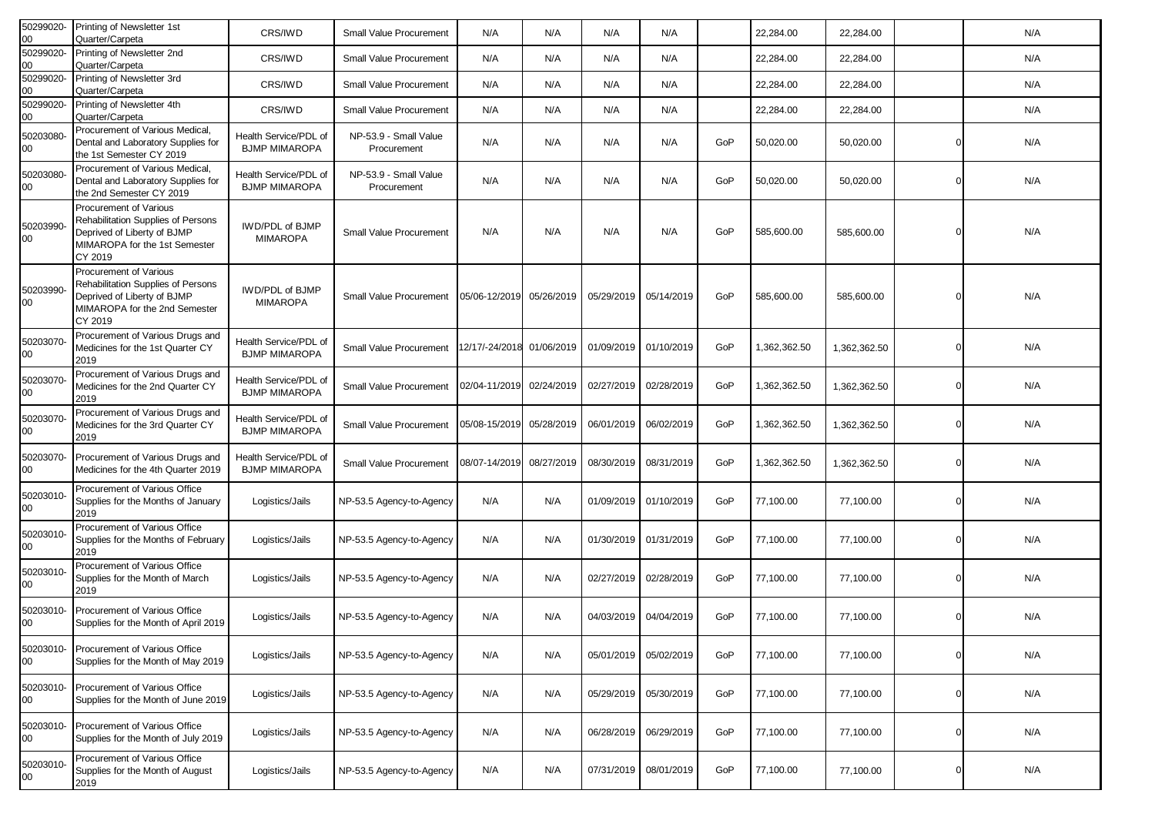| 50299020-<br>00     | Printing of Newsletter 1st<br>Quarter/Carpeta                                                                                           | CRS/IWD                                       | Small Value Procurement              | N/A                      | N/A        | N/A        | N/A        |     | 22,284.00    | 22,284.00    |   | N/A |
|---------------------|-----------------------------------------------------------------------------------------------------------------------------------------|-----------------------------------------------|--------------------------------------|--------------------------|------------|------------|------------|-----|--------------|--------------|---|-----|
| 50299020-<br>00     | Printing of Newsletter 2nd<br>Quarter/Carpeta                                                                                           | CRS/IWD                                       | Small Value Procurement              | N/A                      | N/A        | N/A        | N/A        |     | 22,284.00    | 22,284.00    |   | N/A |
| 50299020-<br>00     | Printing of Newsletter 3rd<br>Quarter/Carpeta                                                                                           | CRS/IWD                                       | Small Value Procurement              | N/A                      | N/A        | N/A        | N/A        |     | 22,284.00    | 22,284.00    |   | N/A |
| 50299020-<br>00     | Printing of Newsletter 4th<br>Quarter/Carpeta                                                                                           | CRS/IWD                                       | Small Value Procurement              | N/A                      | N/A        | N/A        | N/A        |     | 22,284.00    | 22,284.00    |   | N/A |
| 50203080-<br>00     | Procurement of Various Medical,<br>Dental and Laboratory Supplies for<br>the 1st Semester CY 2019                                       | Health Service/PDL of<br><b>BJMP MIMAROPA</b> | NP-53.9 - Small Value<br>Procurement | N/A                      | N/A        | N/A        | N/A        | GoP | 50,020.00    | 50,020.00    |   | N/A |
| 50203080-<br>00     | Procurement of Various Medical,<br>Dental and Laboratory Supplies for<br>the 2nd Semester CY 2019                                       | Health Service/PDL of<br><b>BJMP MIMAROPA</b> | NP-53.9 - Small Value<br>Procurement | N/A                      | N/A        | N/A        | N/A        | GoP | 50,020.00    | 50,020.00    |   | N/A |
| 50203990-<br>00     | Procurement of Various<br>Rehabilitation Supplies of Persons<br>Deprived of Liberty of BJMP<br>MIMAROPA for the 1st Semester<br>CY 2019 | IWD/PDL of BJMP<br><b>MIMAROPA</b>            | Small Value Procurement              | N/A                      | N/A        | N/A        | N/A        | GoP | 585,600.00   | 585,600.00   |   | N/A |
| 50203990-<br>00     | Procurement of Various<br>Rehabilitation Supplies of Persons<br>Deprived of Liberty of BJMP<br>MIMAROPA for the 2nd Semester<br>CY 2019 | IWD/PDL of BJMP<br><b>MIMAROPA</b>            | <b>Small Value Procurement</b>       | 05/06-12/2019 05/26/2019 |            | 05/29/2019 | 05/14/2019 | GoP | 585,600.00   | 585,600.00   |   | N/A |
| 50203070-<br>00     | Procurement of Various Drugs and<br>Medicines for the 1st Quarter CY<br>2019                                                            | Health Service/PDL of<br><b>BJMP MIMAROPA</b> | Small Value Procurement              | 12/17/-24/2018           | 01/06/2019 | 01/09/2019 | 01/10/2019 | GoP | 1,362,362.50 | 1,362,362.50 | O | N/A |
| 50203070-<br>00     | Procurement of Various Drugs and<br>Medicines for the 2nd Quarter CY<br>2019                                                            | Health Service/PDL of<br><b>BJMP MIMAROPA</b> | Small Value Procurement              | 02/04-11/2019            | 02/24/2019 | 02/27/2019 | 02/28/2019 | GoP | 1,362,362.50 | 1,362,362.50 |   | N/A |
| 50203070-<br>00     | Procurement of Various Drugs and<br>Medicines for the 3rd Quarter CY<br>2019                                                            | Health Service/PDL of<br><b>BJMP MIMAROPA</b> | Small Value Procurement              | 05/08-15/2019            | 05/28/2019 | 06/01/2019 | 06/02/2019 | GoP | 1,362,362.50 | 1,362,362.50 |   | N/A |
| 50203070-<br>00     | Procurement of Various Drugs and<br>Medicines for the 4th Quarter 2019                                                                  | Health Service/PDL of<br><b>BJMP MIMAROPA</b> | Small Value Procurement              | 08/07-14/2019            | 08/27/2019 | 08/30/2019 | 08/31/2019 | GoP | 1,362,362.50 | 1,362,362.50 |   | N/A |
| 50203010-<br>00     | Procurement of Various Office<br>Supplies for the Months of January<br>2019                                                             | Logistics/Jails                               | NP-53.5 Agency-to-Agency             | N/A                      | N/A        | 01/09/2019 | 01/10/2019 | GoP | 77,100.00    | 77,100.00    |   | N/A |
| 50203010-<br>$00\,$ | Procurement of Various Office<br>Supplies for the Months of February<br>2019                                                            | Logistics/Jails                               | NP-53.5 Agency-to-Agency             | N/A                      | N/A        | 01/30/2019 | 01/31/2019 | GoP | 77,100.00    | 77,100.00    |   | N/A |
| 50203010-<br>00     | Procurement of Various Office<br>Supplies for the Month of March<br>2019                                                                | Logistics/Jails                               | NP-53.5 Agency-to-Agency             | N/A                      | N/A        | 02/27/2019 | 02/28/2019 | GoP | 77,100.00    | 77,100.00    |   | N/A |
| 50203010-<br>00     | Procurement of Various Office<br>Supplies for the Month of April 2019                                                                   | Logistics/Jails                               | NP-53.5 Agency-to-Agency             | N/A                      | N/A        | 04/03/2019 | 04/04/2019 | GoP | 77,100.00    | 77,100.00    |   | N/A |
| 50203010-<br>$00\,$ | Procurement of Various Office<br>Supplies for the Month of May 2019                                                                     | Logistics/Jails                               | NP-53.5 Agency-to-Agency             | N/A                      | N/A        | 05/01/2019 | 05/02/2019 | GoP | 77,100.00    | 77,100.00    |   | N/A |
| 50203010-<br>00     | Procurement of Various Office<br>Supplies for the Month of June 2019                                                                    | Logistics/Jails                               | NP-53.5 Agency-to-Agency             | N/A                      | N/A        | 05/29/2019 | 05/30/2019 | GoP | 77,100.00    | 77,100.00    | 0 | N/A |
| 50203010-<br>00     | Procurement of Various Office<br>Supplies for the Month of July 2019                                                                    | Logistics/Jails                               | NP-53.5 Agency-to-Agency             | N/A                      | N/A        | 06/28/2019 | 06/29/2019 | GoP | 77,100.00    | 77,100.00    |   | N/A |
| 50203010-<br>00     | Procurement of Various Office<br>Supplies for the Month of August<br>2019                                                               | Logistics/Jails                               | NP-53.5 Agency-to-Agency             | N/A                      | N/A        | 07/31/2019 | 08/01/2019 | GoP | 77,100.00    | 77,100.00    |   | N/A |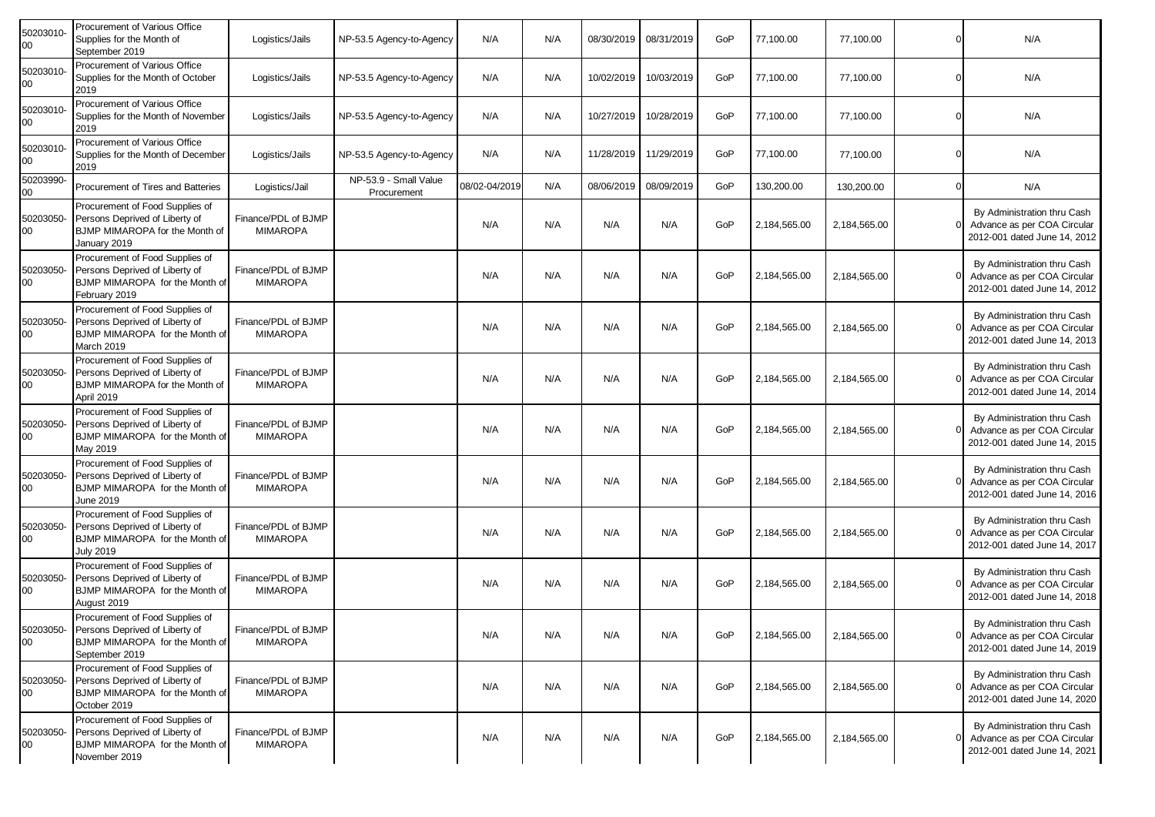| 50203010-<br>00 | Procurement of Various Office<br>Supplies for the Month of<br>September 2019                                                    | Logistics/Jails                        | NP-53.5 Agency-to-Agency             | N/A           | N/A |            | 08/30/2019 08/31/2019 | GoP | 77,100.00    | 77,100.00    | N/A                                                                                        |
|-----------------|---------------------------------------------------------------------------------------------------------------------------------|----------------------------------------|--------------------------------------|---------------|-----|------------|-----------------------|-----|--------------|--------------|--------------------------------------------------------------------------------------------|
| 50203010-<br>00 | Procurement of Various Office<br>Supplies for the Month of October<br>2019                                                      | Logistics/Jails                        | NP-53.5 Agency-to-Agency             | N/A           | N/A | 10/02/2019 | 10/03/2019            | GoP | 77,100.00    | 77,100.00    | N/A                                                                                        |
| 50203010-<br>00 | Procurement of Various Office<br>Supplies for the Month of November<br>2019                                                     | Logistics/Jails                        | NP-53.5 Agency-to-Agency             | N/A           | N/A | 10/27/2019 | 10/28/2019            | GoP | 77,100.00    | 77,100.00    | N/A                                                                                        |
| 50203010-<br>00 | Procurement of Various Office<br>Supplies for the Month of December<br>2019                                                     | Logistics/Jails                        | NP-53.5 Agency-to-Agency             | N/A           | N/A | 11/28/2019 | 11/29/2019            | GoP | 77,100.00    | 77,100.00    | N/A                                                                                        |
| 50203990-<br>00 | Procurement of Tires and Batteries                                                                                              | Logistics/Jail                         | NP-53.9 - Small Value<br>Procurement | 08/02-04/2019 | N/A | 08/06/2019 | 08/09/2019            | GoP | 130,200.00   | 130,200.00   | N/A                                                                                        |
| 50203050-<br>00 | Procurement of Food Supplies of<br>Persons Deprived of Liberty of<br>BJMP MIMAROPA for the Month of<br>January 2019             | Finance/PDL of BJMP<br><b>MIMAROPA</b> |                                      | N/A           | N/A | N/A        | N/A                   | GoP | 2,184,565.00 | 2,184,565.00 | By Administration thru Cash<br>Advance as per COA Circular<br>2012-001 dated June 14, 2012 |
| 50203050-<br>00 | Procurement of Food Supplies of<br>Persons Deprived of Liberty of<br>BJMP MIMAROPA for the Month of<br>February 2019            | Finance/PDL of BJMP<br><b>MIMAROPA</b> |                                      | N/A           | N/A | N/A        | N/A                   | GoP | 2,184,565.00 | 2,184,565.00 | By Administration thru Cash<br>Advance as per COA Circular<br>2012-001 dated June 14, 2012 |
| 50203050-<br>00 | Procurement of Food Supplies of<br>Persons Deprived of Liberty of<br>BJMP MIMAROPA for the Month of<br>March 2019               | Finance/PDL of BJMP<br><b>MIMAROPA</b> |                                      | N/A           | N/A | N/A        | N/A                   | GoP | 2,184,565.00 | 2,184,565.00 | By Administration thru Cash<br>Advance as per COA Circular<br>2012-001 dated June 14, 2013 |
| 50203050-<br>00 | Procurement of Food Supplies of<br>Persons Deprived of Liberty of<br>BJMP MIMAROPA for the Month of<br>April 2019               | Finance/PDL of BJMP<br><b>MIMAROPA</b> |                                      | N/A           | N/A | N/A        | N/A                   | GoP | 2,184,565.00 | 2,184,565.00 | By Administration thru Cash<br>Advance as per COA Circular<br>2012-001 dated June 14, 2014 |
| 50203050-<br>00 | Procurement of Food Supplies of<br>Persons Deprived of Liberty of<br>BJMP MIMAROPA for the Month of<br>May 2019                 | Finance/PDL of BJMP<br><b>MIMAROPA</b> |                                      | N/A           | N/A | N/A        | N/A                   | GoP | 2,184,565.00 | 2,184,565.00 | By Administration thru Cash<br>Advance as per COA Circular<br>2012-001 dated June 14, 2015 |
| 50203050-<br>00 | Procurement of Food Supplies of<br>Persons Deprived of Liberty of<br>BJMP MIMAROPA for the Month of<br>June 2019                | Finance/PDL of BJMP<br><b>MIMAROPA</b> |                                      | N/A           | N/A | N/A        | N/A                   | GoP | 2,184,565.00 | 2,184,565.00 | By Administration thru Cash<br>Advance as per COA Circular<br>2012-001 dated June 14, 2016 |
| 50203050-<br>00 | Procurement of Food Supplies of<br>Persons Deprived of Liberty of<br>BJMP MIMAROPA for the Month of<br><b>July 2019</b>         | Finance/PDL of BJMP<br><b>MIMAROPA</b> |                                      | N/A           | N/A | N/A        | N/A                   | GoP | 2,184,565.00 | 2,184,565.00 | By Administration thru Cash<br>Advance as per COA Circular<br>2012-001 dated June 14, 2017 |
| 50203050-<br>00 | Procurement of Food Supplies of<br>Persons Deprived of Liberty of<br>BJMP MIMAROPA for the Month of<br>August 2019              | Finance/PDL of BJMP<br><b>MIMAROPA</b> |                                      | N/A           | N/A | N/A        | N/A                   | GoP | 2,184,565.00 | 2,184,565.00 | By Administration thru Cash<br>Advance as per COA Circular<br>2012-001 dated June 14, 2018 |
| 00              | Procurement of Food Supplies of<br>50203050- Persons Deprived of Liberty of<br>BJMP MIMAROPA for the Month of<br>September 2019 | Finance/PDL of BJMP<br><b>MIMAROPA</b> |                                      | N/A           | N/A | N/A        | N/A                   | GoP | 2,184,565.00 | 2,184,565.00 | By Administration thru Cash<br>Advance as per COA Circular<br>2012-001 dated June 14, 2019 |
| 50203050-<br>00 | Procurement of Food Supplies of<br>Persons Deprived of Liberty of<br>BJMP MIMAROPA for the Month of<br>October 2019             | Finance/PDL of BJMP<br><b>MIMAROPA</b> |                                      | N/A           | N/A | N/A        | N/A                   | GoP | 2,184,565.00 | 2,184,565.00 | By Administration thru Cash<br>Advance as per COA Circular<br>2012-001 dated June 14, 2020 |
| 50203050-<br>00 | Procurement of Food Supplies of<br>Persons Deprived of Liberty of<br>BJMP MIMAROPA for the Month of<br>November 2019            | Finance/PDL of BJMP<br><b>MIMAROPA</b> |                                      | N/A           | N/A | N/A        | N/A                   | GoP | 2,184,565.00 | 2,184,565.00 | By Administration thru Cash<br>Advance as per COA Circular<br>2012-001 dated June 14, 2021 |